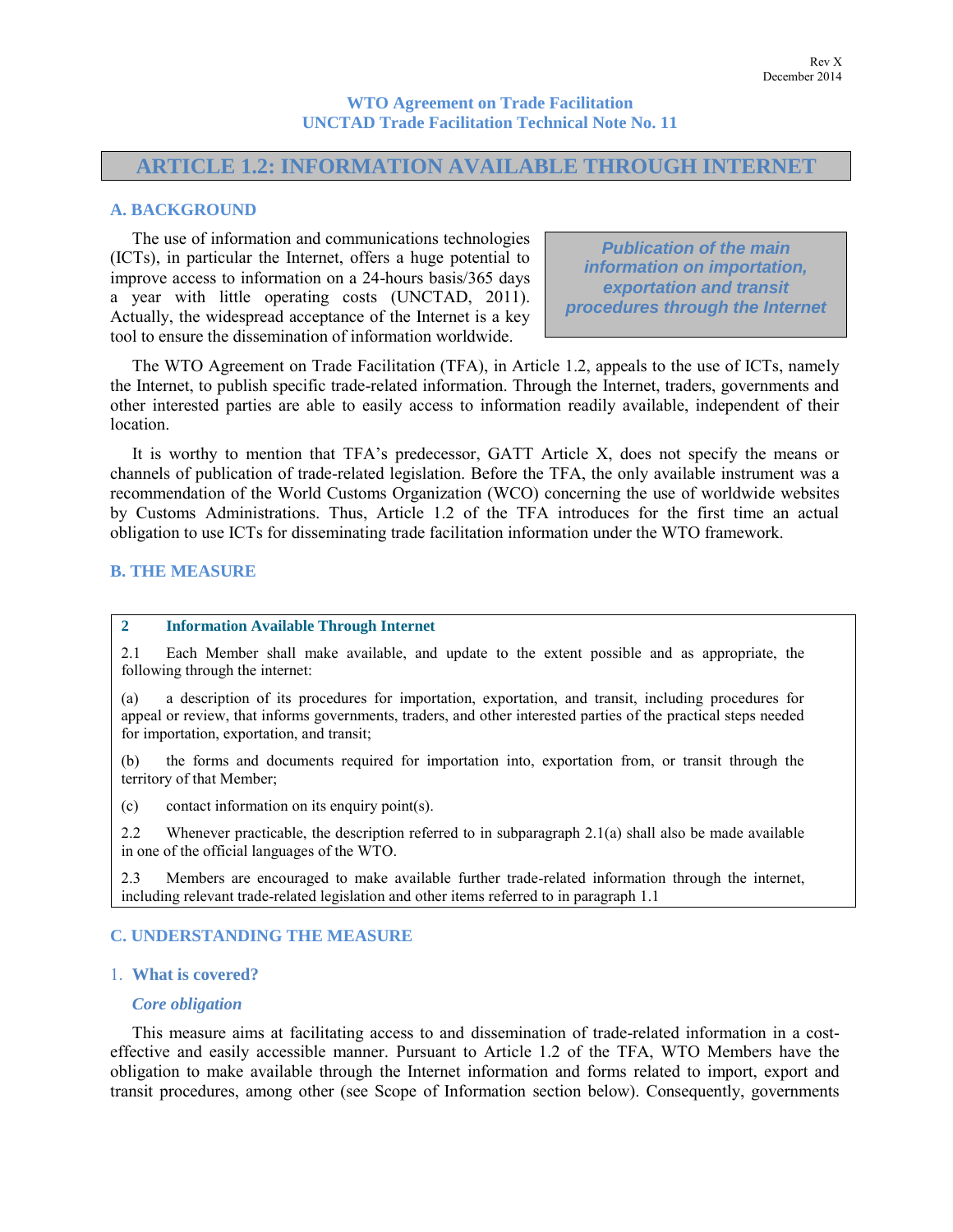# **ARTICLE 1.2: INFORMATION AVAILABLE THROUGH INTERNET**

## **A. BACKGROUND**

The use of information and communications technologies (ICTs), in particular the Internet, offers a huge potential to improve access to information on a 24-hours basis/365 days a year with little operating costs (UNCTAD, 2011). Actually, the widespread acceptance of the Internet is a key tool to ensure the dissemination of information worldwide.

*Publication of the main information on importation, exportation and transit procedures through the Internet*

The WTO Agreement on Trade Facilitation (TFA), in Article 1.2, appeals to the use of ICTs, namely the Internet, to publish specific trade-related information. Through the Internet, traders, governments and other interested parties are able to easily access to information readily available, independent of their location.

It is worthy to mention that TFA's predecessor, GATT Article X, does not specify the means or channels of publication of trade-related legislation. Before the TFA, the only available instrument was a recommendation of the World Customs Organization (WCO) concerning the use of worldwide websites by Customs Administrations. Thus, Article 1.2 of the TFA introduces for the first time an actual obligation to use ICTs for disseminating trade facilitation information under the WTO framework.

## **B. THE MEASURE**

### **2 Information Available Through Internet**

2.1 Each Member shall make available, and update to the extent possible and as appropriate, the following through the internet:

(a) a description of its procedures for importation, exportation, and transit, including procedures for appeal or review, that informs governments, traders, and other interested parties of the practical steps needed for importation, exportation, and transit;

(b) the forms and documents required for importation into, exportation from, or transit through the territory of that Member;

(c) contact information on its enquiry point(s).

2.2 Whenever practicable, the description referred to in subparagraph 2.1(a) shall also be made available in one of the official languages of the WTO.

2.3 Members are encouraged to make available further trade-related information through the internet, including relevant trade-related legislation and other items referred to in paragraph 1.1

## **C. UNDERSTANDING THE MEASURE**

## 1. **What is covered?**

### *Core obligation*

This measure aims at facilitating access to and dissemination of trade-related information in a costeffective and easily accessible manner. Pursuant to Article 1.2 of the TFA, WTO Members have the obligation to make available through the Internet information and forms related to import, export and transit procedures, among other (see Scope of Information section below). Consequently, governments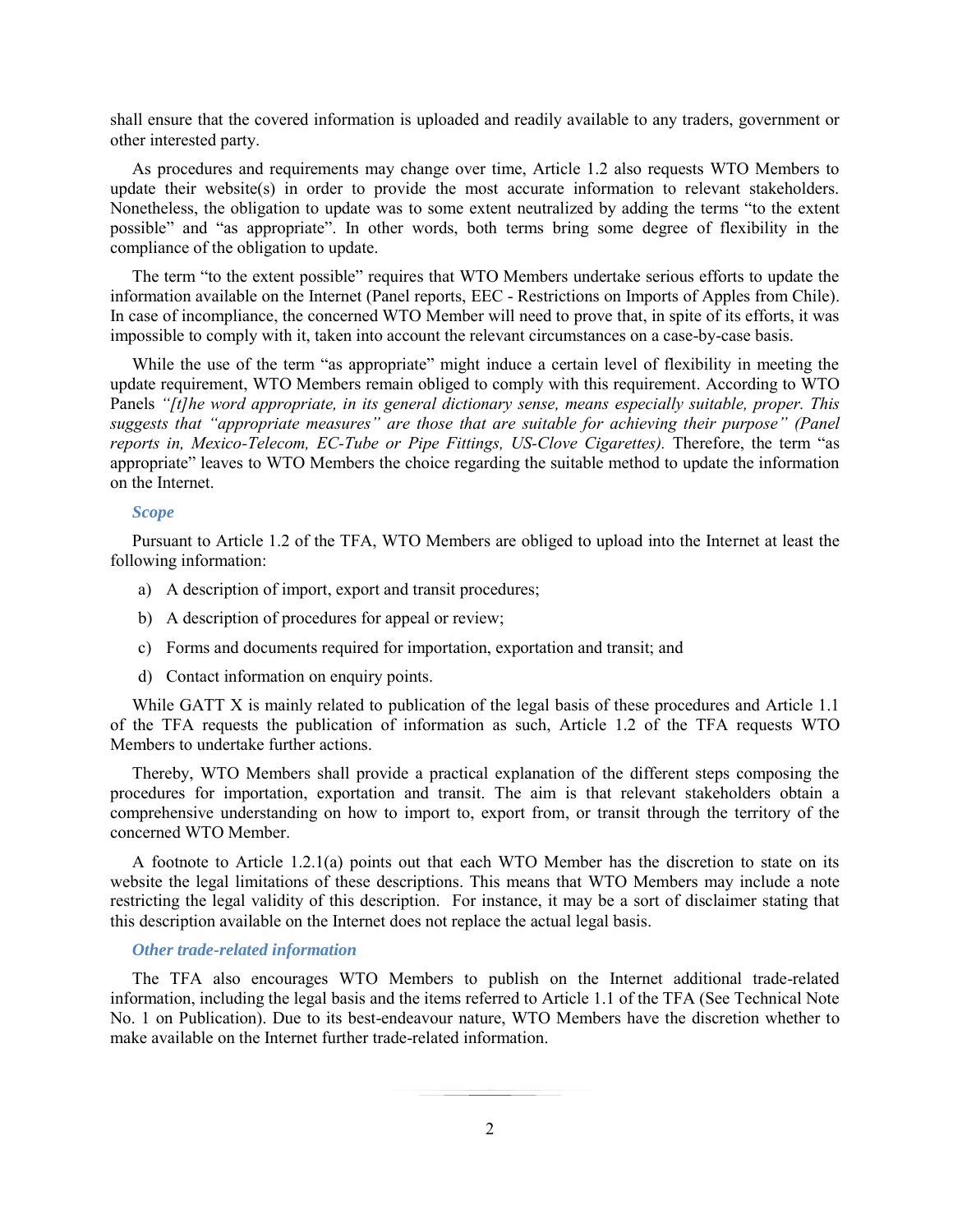shall ensure that the covered information is uploaded and readily available to any traders, government or other interested party.

As procedures and requirements may change over time, Article 1.2 also requests WTO Members to update their website(s) in order to provide the most accurate information to relevant stakeholders. Nonetheless, the obligation to update was to some extent neutralized by adding the terms "to the extent possible" and "as appropriate". In other words, both terms bring some degree of flexibility in the compliance of the obligation to update.

The term "to the extent possible" requires that WTO Members undertake serious efforts to update the information available on the Internet (Panel reports, EEC - Restrictions on Imports of Apples from Chile). In case of incompliance, the concerned WTO Member will need to prove that, in spite of its efforts, it was impossible to comply with it, taken into account the relevant circumstances on a case-by-case basis.

While the use of the term "as appropriate" might induce a certain level of flexibility in meeting the update requirement, WTO Members remain obliged to comply with this requirement. According to WTO Panels *"[t]he word appropriate, in its general dictionary sense, means especially suitable, proper. This suggests that "appropriate measures" are those that are suitable for achieving their purpose" (Panel reports in, Mexico-Telecom, EC-Tube or Pipe Fittings, US-Clove Cigarettes).* Therefore, the term "as appropriate" leaves to WTO Members the choice regarding the suitable method to update the information on the Internet.

#### *Scope*

Pursuant to Article 1.2 of the TFA, WTO Members are obliged to upload into the Internet at least the following information:

- a) A description of import, export and transit procedures;
- b) A description of procedures for appeal or review;
- c) Forms and documents required for importation, exportation and transit; and
- d) Contact information on enquiry points.

While GATT X is mainly related to publication of the legal basis of these procedures and Article 1.1 of the TFA requests the publication of information as such, Article 1.2 of the TFA requests WTO Members to undertake further actions.

Thereby, WTO Members shall provide a practical explanation of the different steps composing the procedures for importation, exportation and transit. The aim is that relevant stakeholders obtain a comprehensive understanding on how to import to, export from, or transit through the territory of the concerned WTO Member.

A footnote to Article 1.2.1(a) points out that each WTO Member has the discretion to state on its website the legal limitations of these descriptions. This means that WTO Members may include a note restricting the legal validity of this description. For instance, it may be a sort of disclaimer stating that this description available on the Internet does not replace the actual legal basis.

## *Other trade-related information*

The TFA also encourages WTO Members to publish on the Internet additional trade-related information, including the legal basis and the items referred to Article 1.1 of the TFA (See Technical Note No. 1 on Publication). Due to its best-endeavour nature, WTO Members have the discretion whether to make available on the Internet further trade-related information.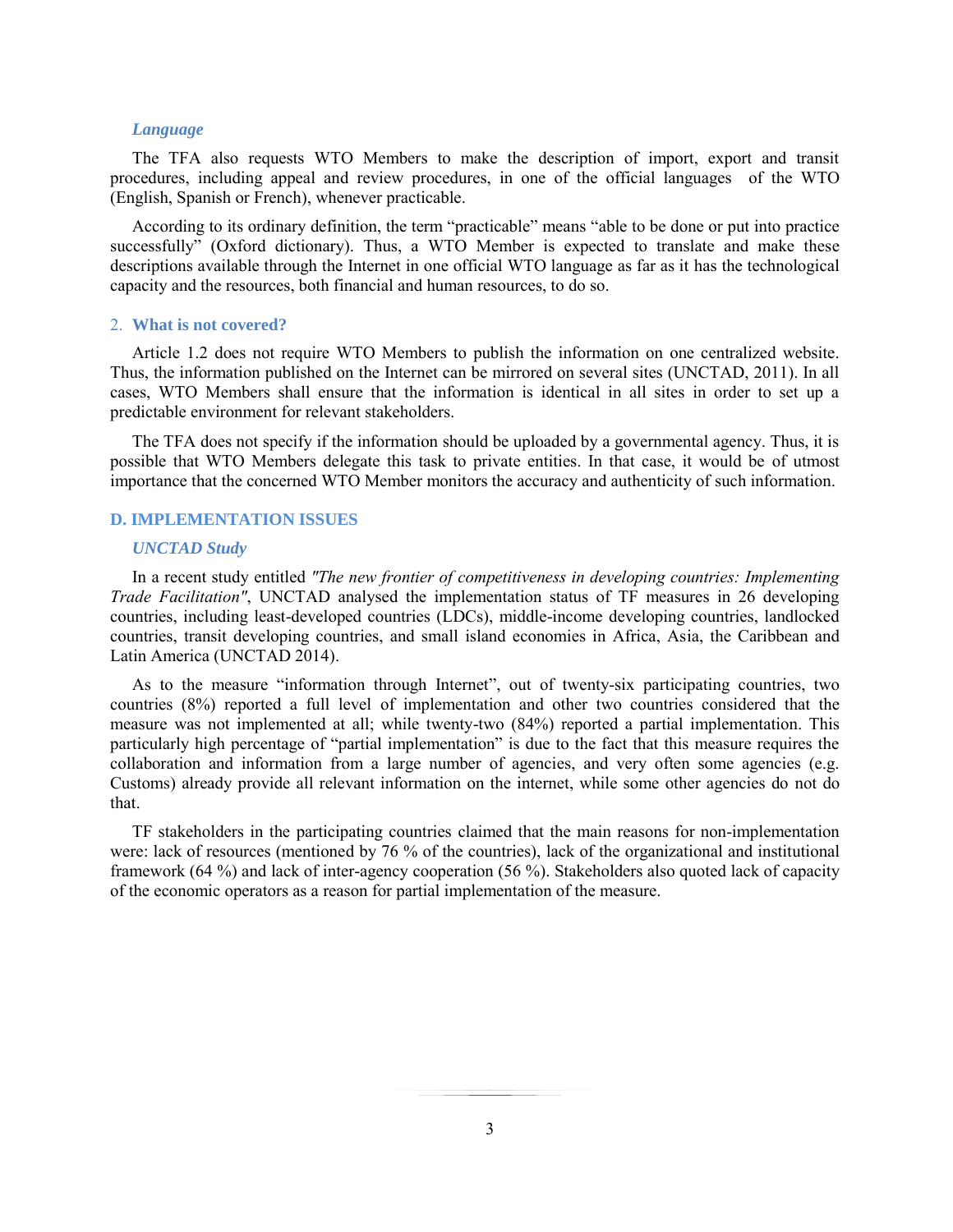#### *Language*

The TFA also requests WTO Members to make the description of import, export and transit procedures, including appeal and review procedures, in one of the official languages of the WTO (English, Spanish or French), whenever practicable.

According to its ordinary definition, the term "practicable" means "able to be done or put into practice successfully" (Oxford dictionary). Thus, a WTO Member is expected to translate and make these descriptions available through the Internet in one official WTO language as far as it has the technological capacity and the resources, both financial and human resources, to do so.

### 2. **What is not covered?**

Article 1.2 does not require WTO Members to publish the information on one centralized website. Thus, the information published on the Internet can be mirrored on several sites (UNCTAD, 2011). In all cases, WTO Members shall ensure that the information is identical in all sites in order to set up a predictable environment for relevant stakeholders.

The TFA does not specify if the information should be uploaded by a governmental agency. Thus, it is possible that WTO Members delegate this task to private entities. In that case, it would be of utmost importance that the concerned WTO Member monitors the accuracy and authenticity of such information.

### **D. IMPLEMENTATION ISSUES**

#### *UNCTAD Study*

In a recent study entitled *"The new frontier of competitiveness in developing countries: Implementing Trade Facilitation"*, UNCTAD analysed the implementation status of TF measures in 26 developing countries, including least-developed countries (LDCs), middle-income developing countries, landlocked countries, transit developing countries, and small island economies in Africa, Asia, the Caribbean and Latin America (UNCTAD 2014).

As to the measure "information through Internet", out of twenty-six participating countries, two countries (8%) reported a full level of implementation and other two countries considered that the measure was not implemented at all; while twenty-two (84%) reported a partial implementation. This particularly high percentage of "partial implementation" is due to the fact that this measure requires the collaboration and information from a large number of agencies, and very often some agencies (e.g. Customs) already provide all relevant information on the internet, while some other agencies do not do that.

TF stakeholders in the participating countries claimed that the main reasons for non-implementation were: lack of resources (mentioned by 76 % of the countries), lack of the organizational and institutional framework (64 %) and lack of inter-agency cooperation (56 %). Stakeholders also quoted lack of capacity of the economic operators as a reason for partial implementation of the measure.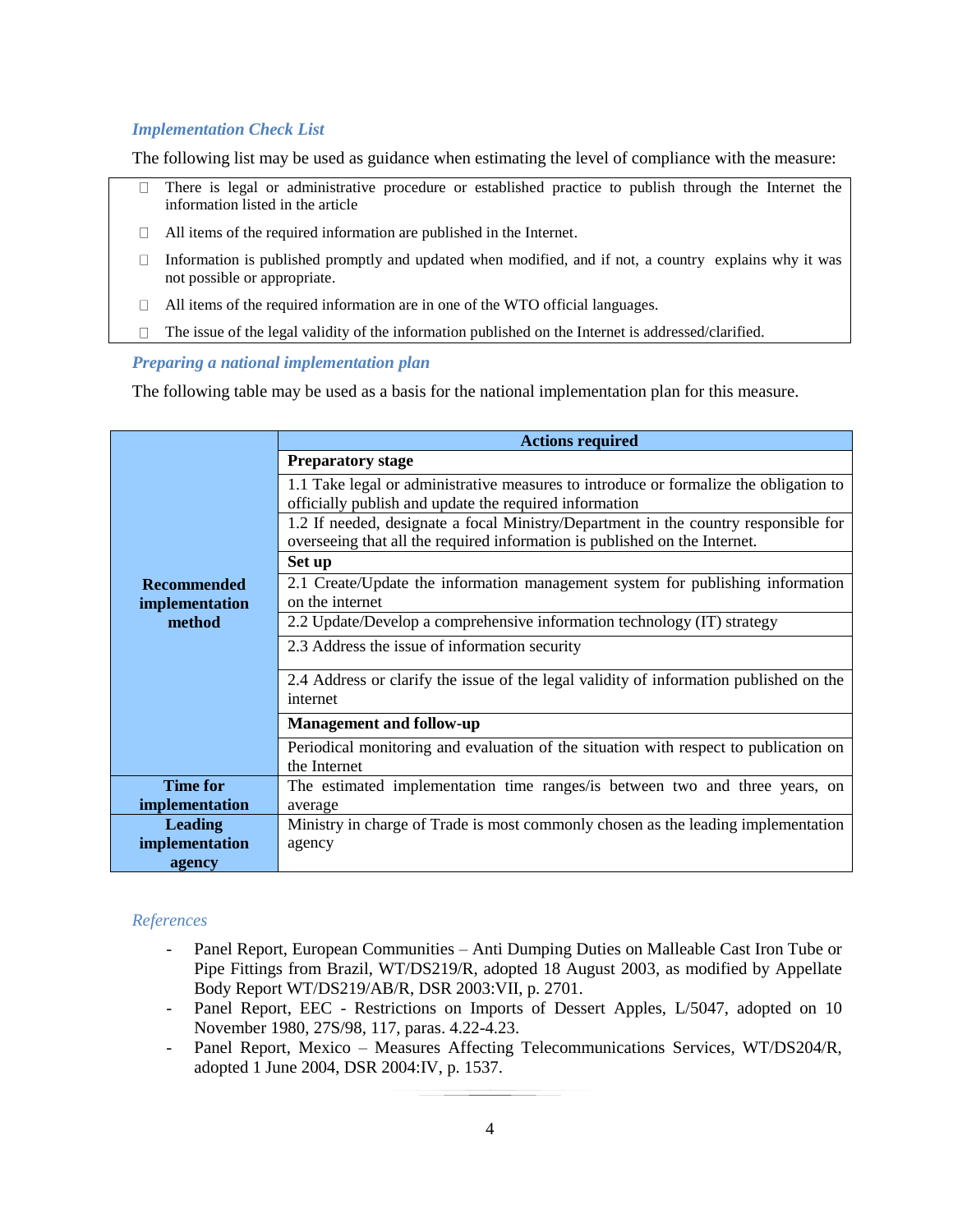## *Implementation Check List*

The following list may be used as guidance when estimating the level of compliance with the measure:

- There is legal or administrative procedure or established practice to publish through the Internet the information listed in the article
- $\Box$  All items of the required information are published in the Internet.
- Information is published promptly and updated when modified, and if not, a country explains why it was  $\Box$ not possible or appropriate.
- All items of the required information are in one of the WTO official languages.
- The issue of the legal validity of the information published on the Internet is addressed/clarified.  $\Box$

## *Preparing a national implementation plan*

The following table may be used as a basis for the national implementation plan for this measure.

|                    | <b>Actions required</b>                                                                |
|--------------------|----------------------------------------------------------------------------------------|
|                    | <b>Preparatory stage</b>                                                               |
|                    | 1.1 Take legal or administrative measures to introduce or formalize the obligation to  |
|                    | officially publish and update the required information                                 |
|                    | 1.2 If needed, designate a focal Ministry/Department in the country responsible for    |
|                    | overseeing that all the required information is published on the Internet.             |
|                    | Set up                                                                                 |
| <b>Recommended</b> | 2.1 Create/Update the information management system for publishing information         |
| implementation     | on the internet                                                                        |
| method             | 2.2 Update/Develop a comprehensive information technology (IT) strategy                |
|                    | 2.3 Address the issue of information security                                          |
|                    | 2.4 Address or clarify the issue of the legal validity of information published on the |
|                    | internet                                                                               |
|                    | <b>Management and follow-up</b>                                                        |
|                    | Periodical monitoring and evaluation of the situation with respect to publication on   |
|                    | the Internet                                                                           |
| <b>Time for</b>    | The estimated implementation time ranges/is between two and three years, on            |
| implementation     | average                                                                                |
| <b>Leading</b>     | Ministry in charge of Trade is most commonly chosen as the leading implementation      |
| implementation     | agency                                                                                 |
| agency             |                                                                                        |

## *References*

- Panel Report, European Communities Anti Dumping Duties on Malleable Cast Iron Tube or Pipe Fittings from Brazil, WT/DS219/R, adopted 18 August 2003, as modified by Appellate Body Report WT/DS219/AB/R, DSR 2003:VII, p. 2701.
- Panel Report, EEC Restrictions on Imports of Dessert Apples, L/5047, adopted on 10 November 1980, 27S/98, 117, paras. 4.22-4.23.
- Panel Report, Mexico Measures Affecting Telecommunications Services, WT/DS204/R, adopted 1 June 2004, DSR 2004:IV, p. 1537.